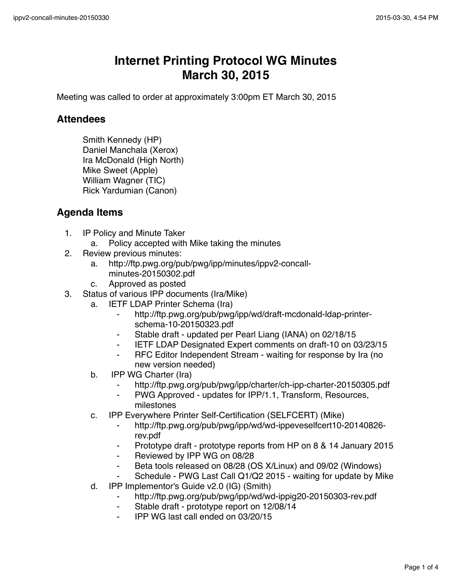## **Internet Printing Protocol WG Minutes March 30, 2015**

Meeting was called to order at approximately 3:00pm ET March 30, 2015

## **Attendees**

Smith Kennedy (HP) Daniel Manchala (Xerox) Ira McDonald (High North) Mike Sweet (Apple) William Wagner (TIC) Rick Yardumian (Canon)

## **Agenda Items**

- 1. IP Policy and Minute Taker
	- a. Policy accepted with Mike taking the minutes
- 2. Review previous minutes:
	- a. http://ftp.pwg.org/pub/pwg/ipp/minutes/ippv2-concallminutes-20150302.pdf
	- c. Approved as posted
- 3. Status of various IPP documents (Ira/Mike)
	- a. IETF LDAP Printer Schema (Ira)
		- ⁃ http://ftp.pwg.org/pub/pwg/ipp/wd/draft-mcdonald-ldap-printerschema-10-20150323.pdf
		- Stable draft updated per Pearl Liang (IANA) on 02/18/15
		- ⁃ IETF LDAP Designated Expert comments on draft-10 on 03/23/15
		- RFC Editor Independent Stream waiting for response by Ira (no new version needed)
	- b. IPP WG Charter (Ira)
		- ⁃ http://ftp.pwg.org/pub/pwg/ipp/charter/ch-ipp-charter-20150305.pdf
		- ⁃ PWG Approved updates for IPP/1.1, Transform, Resources, milestones
	- c. IPP Everywhere Printer Self-Certification (SELFCERT) (Mike)
		- ⁃ http://ftp.pwg.org/pub/pwg/ipp/wd/wd-ippeveselfcert10-20140826 rev.pdf
		- ⁃ Prototype draft prototype reports from HP on 8 & 14 January 2015
		- ⁃ Reviewed by IPP WG on 08/28
		- Beta tools released on 08/28 (OS X/Linux) and 09/02 (Windows)
		- Schedule PWG Last Call Q1/Q2 2015 waiting for update by Mike
	- d. IPP Implementor's Guide v2.0 (IG) (Smith)
		- ⁃ http://ftp.pwg.org/pub/pwg/ipp/wd/wd-ippig20-20150303-rev.pdf
		- Stable draft prototype report on 12/08/14
			- ⁃ IPP WG last call ended on 03/20/15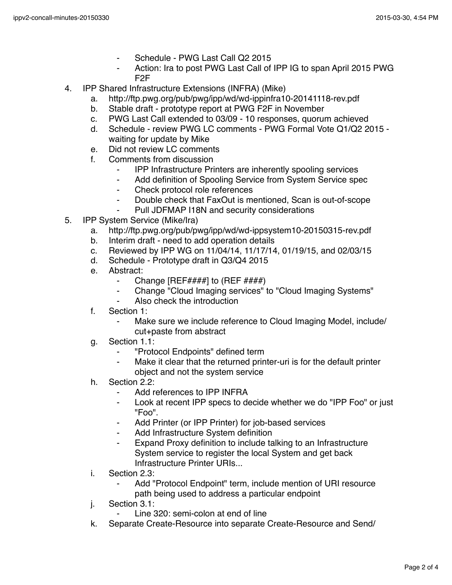- Schedule PWG Last Call Q2 2015
- Action: Ira to post PWG Last Call of IPP IG to span April 2015 PWG F2F
- 4. IPP Shared Infrastructure Extensions (INFRA) (Mike)
	- a. http://ftp.pwg.org/pub/pwg/ipp/wd/wd-ippinfra10-20141118-rev.pdf
	- b. Stable draft prototype report at PWG F2F in November
	- c. PWG Last Call extended to 03/09 10 responses, quorum achieved
	- d. Schedule review PWG LC comments PWG Formal Vote Q1/Q2 2015 waiting for update by Mike
	- e. Did not review LC comments
	- f. Comments from discussion
		- ⁃ IPP Infrastructure Printers are inherently spooling services
		- ⁃ Add definition of Spooling Service from System Service spec
		- ⁃ Check protocol role references
		- ⁃ Double check that FaxOut is mentioned, Scan is out-of-scope
		- Pull JDFMAP I18N and security considerations
- 5. IPP System Service (Mike/Ira)
	- a. http://ftp.pwg.org/pub/pwg/ipp/wd/wd-ippsystem10-20150315-rev.pdf
	- b. Interim draft need to add operation details
	- c. Reviewed by IPP WG on 11/04/14, 11/17/14, 01/19/15, and 02/03/15
	- d. Schedule Prototype draft in Q3/Q4 2015
	- e. Abstract:
		- Change  $[REF\# \# \#]$  to  $(REF\# \# \#)$
		- ⁃ Change "Cloud Imaging services" to "Cloud Imaging Systems"
		- Also check the introduction
	- f. Section 1:
		- ⁃ Make sure we include reference to Cloud Imaging Model, include/ cut+paste from abstract
	- g. Section 1.1:
		- ⁃ "Protocol Endpoints" defined term
		- ⁃ Make it clear that the returned printer-uri is for the default printer object and not the system service
	- h. Section 2.2:
		- ⁃ Add references to IPP INFRA
		- ⁃ Look at recent IPP specs to decide whether we do "IPP Foo" or just "Foo".
		- ⁃ Add Printer (or IPP Printer) for job-based services
		- Add Infrastructure System definition
		- Expand Proxy definition to include talking to an Infrastructure System service to register the local System and get back Infrastructure Printer URIs...
	- i. Section 2.3:
		- Add "Protocol Endpoint" term, include mention of URI resource path being used to address a particular endpoint
	- j. Section 3.1:
		- Line 320: semi-colon at end of line
	- k. Separate Create-Resource into separate Create-Resource and Send/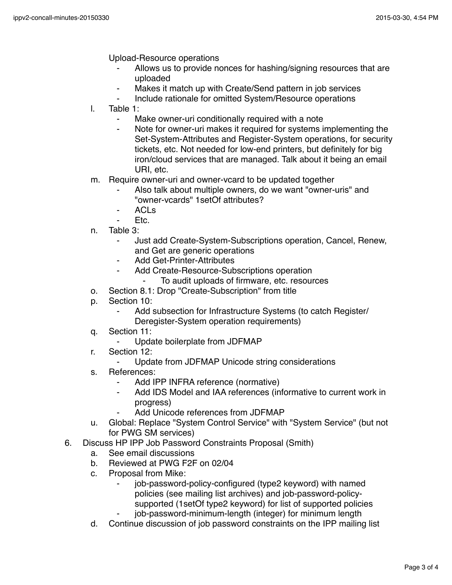Upload-Resource operations

- Allows us to provide nonces for hashing/signing resources that are uploaded
- Makes it match up with Create/Send pattern in job services
- Include rationale for omitted System/Resource operations
- l. Table 1:
	- ⁃ Make owner-uri conditionally required with a note
	- Note for owner-uri makes it required for systems implementing the Set-System-Attributes and Register-System operations, for security tickets, etc. Not needed for low-end printers, but definitely for big iron/cloud services that are managed. Talk about it being an email URI, etc.
- m. Require owner-uri and owner-vcard to be updated together
	- Also talk about multiple owners, do we want "owner-uris" and "owner-vcards" 1setOf attributes?
	- **ACLs**
	- Etc.
- n. Table 3:
	- Just add Create-System-Subscriptions operation, Cancel, Renew, and Get are generic operations
	- Add Get-Printer-Attributes
		- Add Create-Resource-Subscriptions operation
			- To audit uploads of firmware, etc. resources
- o. Section 8.1: Drop "Create-Subscription" from title
- p. Section 10:
	- Add subsection for Infrastructure Systems (to catch Register/ Deregister-System operation requirements)
- q. Section 11:
	- Update boilerplate from JDFMAP
- r. Section 12:
	- ⁃ Update from JDFMAP Unicode string considerations
- s. References:
	- Add IPP INFRA reference (normative)
	- Add IDS Model and IAA references (informative to current work in progress)
	- Add Unicode references from JDFMAP
- u. Global: Replace "System Control Service" with "System Service" (but not for PWG SM services)
- 6. Discuss HP IPP Job Password Constraints Proposal (Smith)
	- a. See email discussions
	- b. Reviewed at PWG F2F on 02/04
	- c. Proposal from Mike:
		- job-password-policy-configured (type2 keyword) with named policies (see mailing list archives) and job-password-policysupported (1setOf type2 keyword) for list of supported policies
		- job-password-minimum-length (integer) for minimum length
	- d. Continue discussion of job password constraints on the IPP mailing list